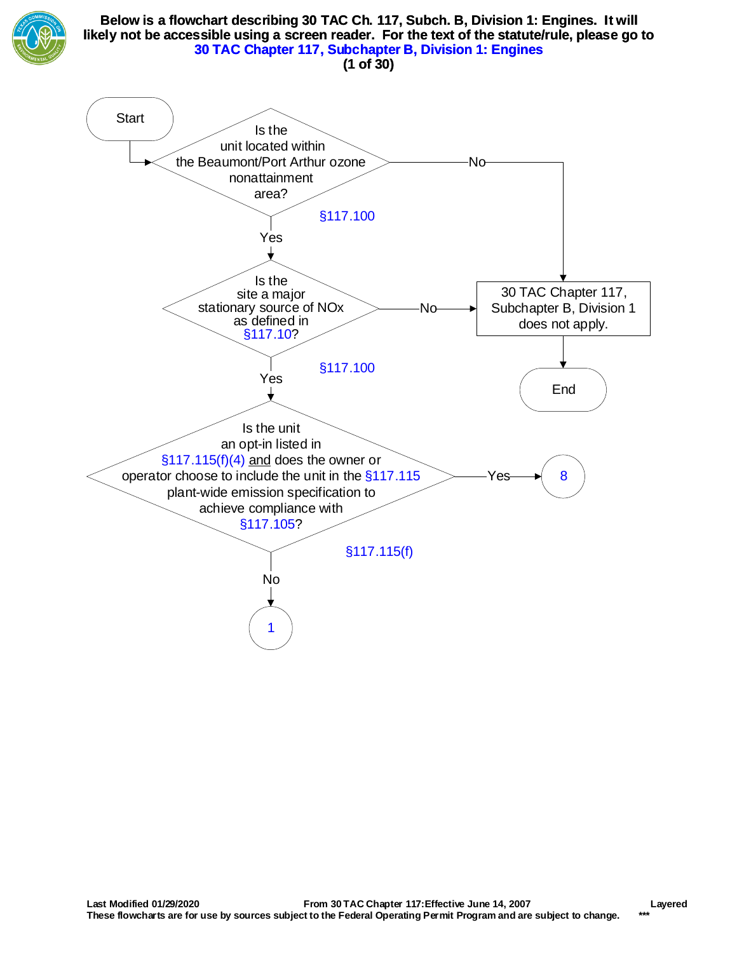

#### **Below is a flowchart describing 30 TAC Ch. 117, Subch. B, Division 1: Engines. It will likely not be accessible using a screen reader. For the text of the statute/rule, please go to [30 TAC Chapter 117, Subchapter B, Division 1: Engines](http://texreg.sos.state.tx.us/public/readtac$ext.ViewTAC?tac_view=5&ti=30&pt=1&ch=117&sch=B&div=1&rl=Y) (1 of 30)**

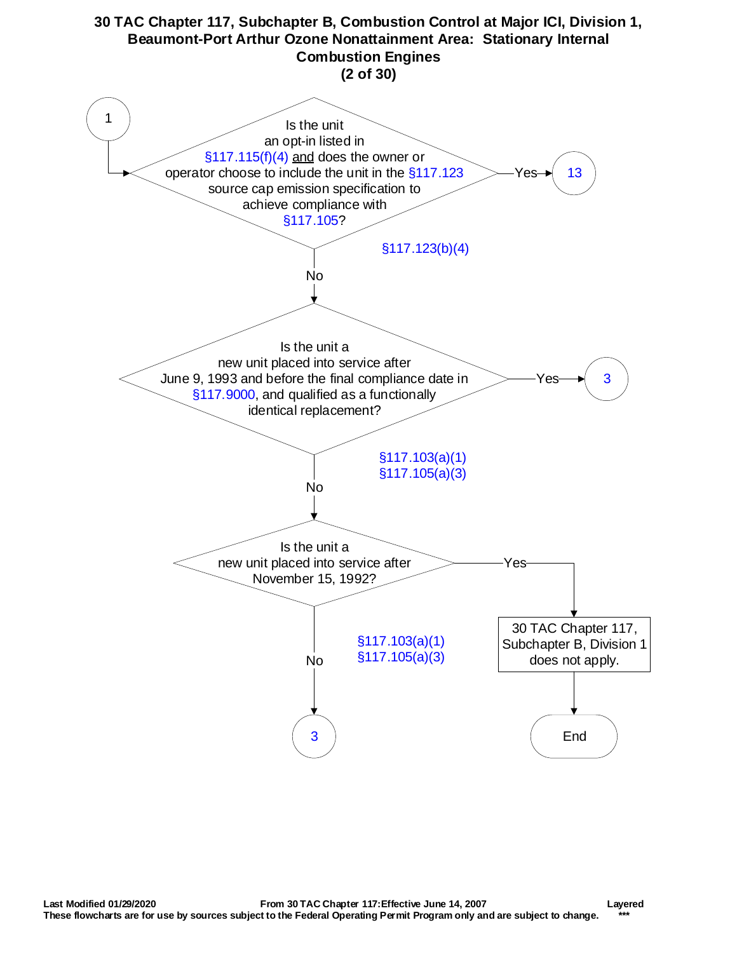<span id="page-1-0"></span>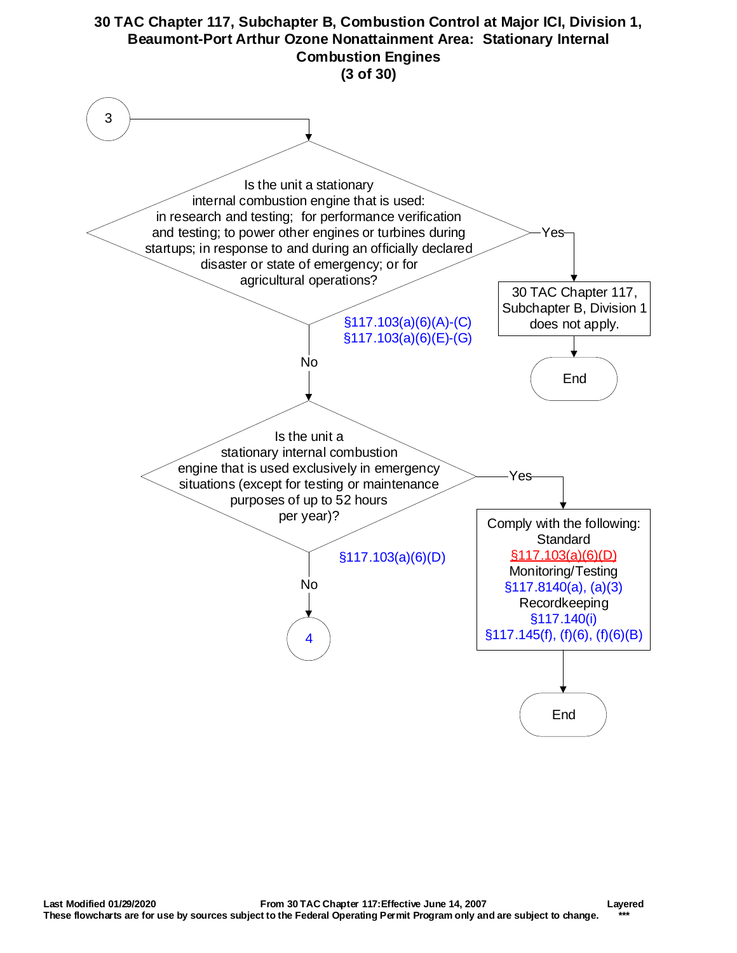<span id="page-2-0"></span>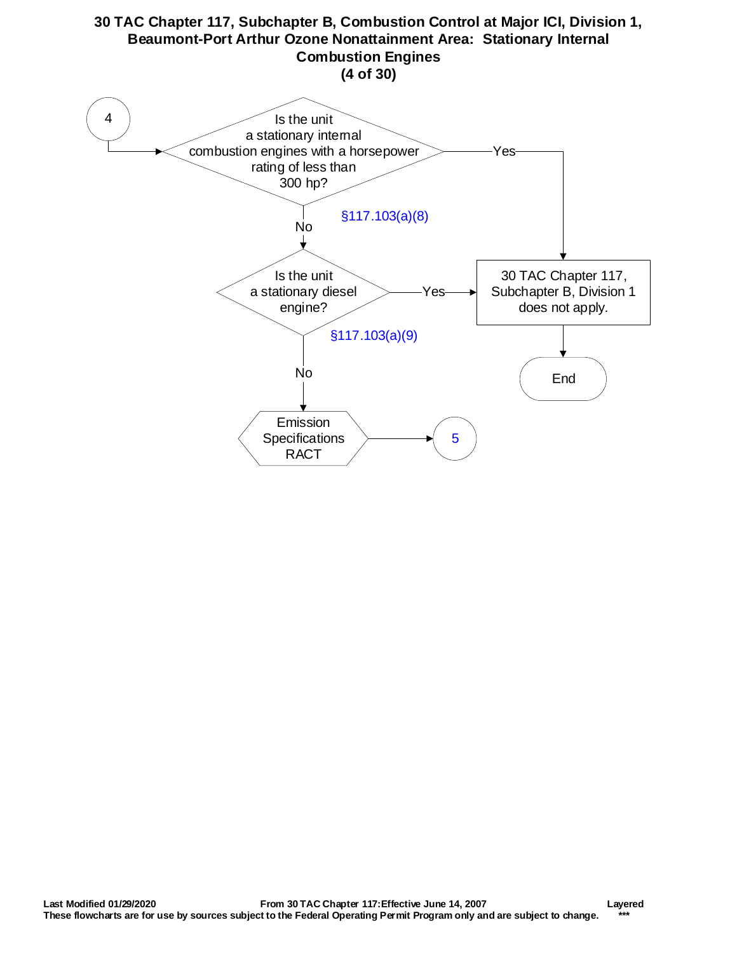<span id="page-3-0"></span>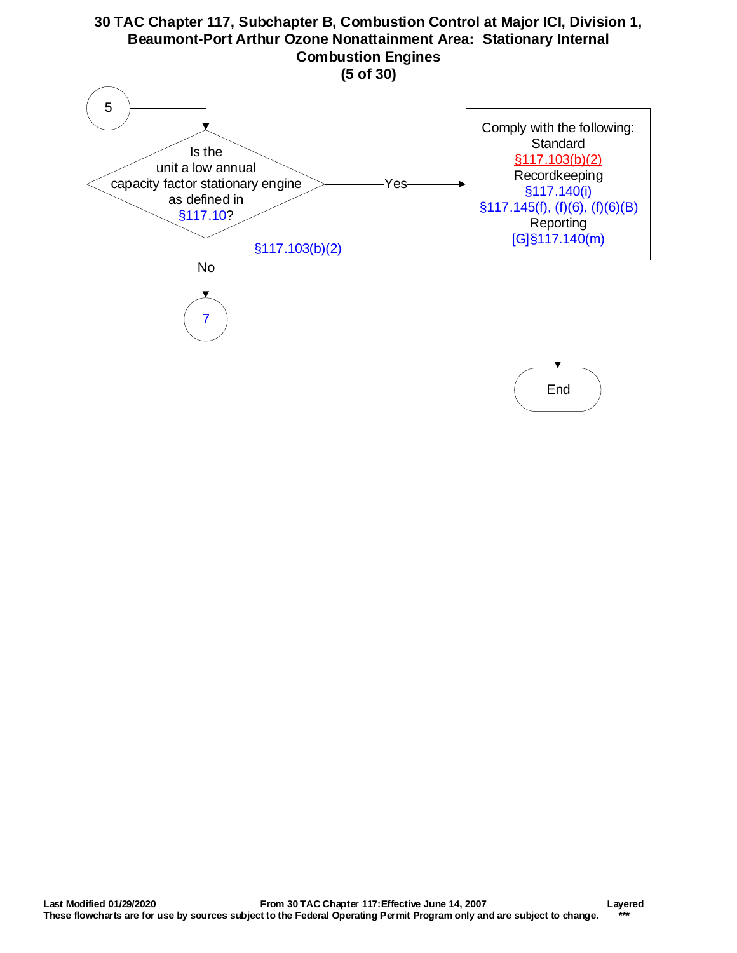<span id="page-4-0"></span>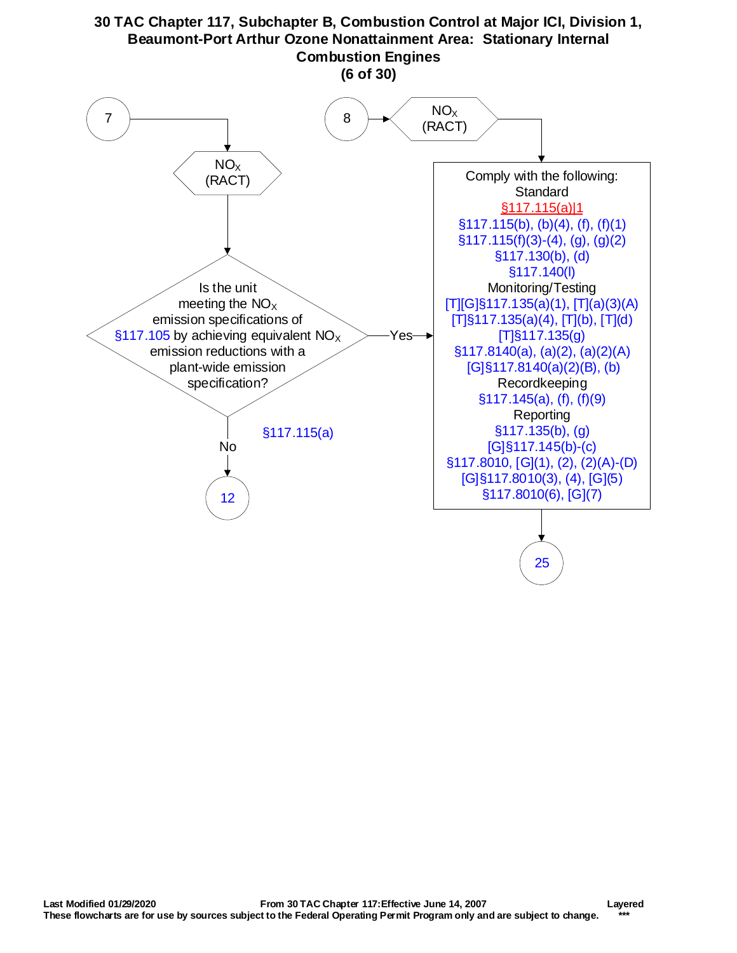<span id="page-5-0"></span>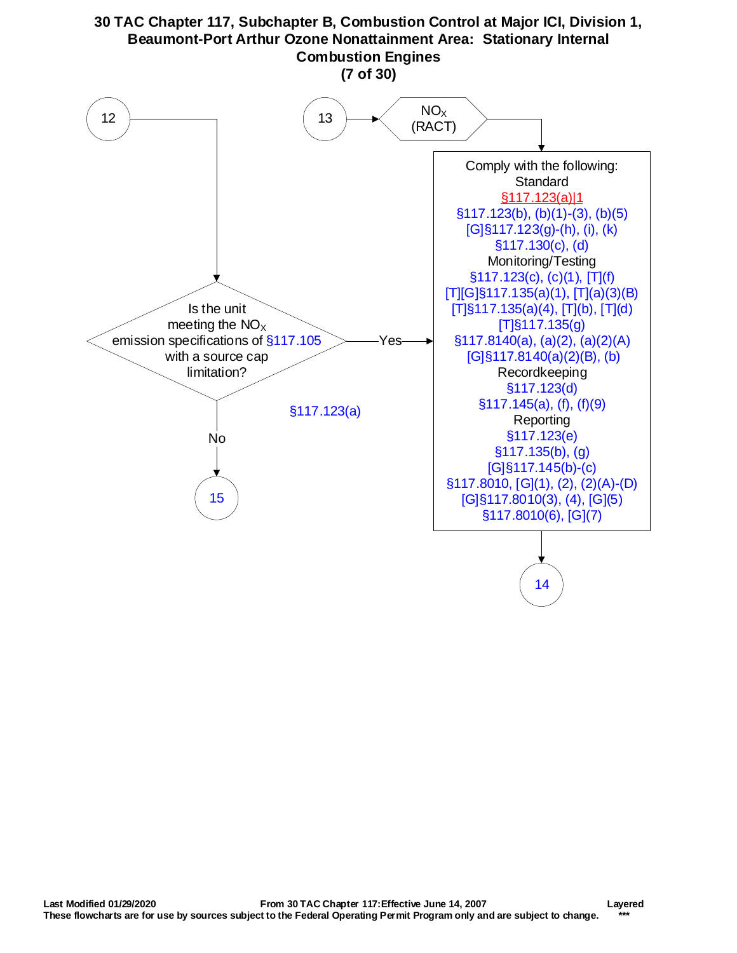<span id="page-6-0"></span>

Yes

[T]§117.135(a)(4), [T](b), [T](d) [T]§117.135(g) [§117.8140\(a\), \(a\)\(2\), \(a\)\(2\)\(A\)](http://texreg.sos.state.tx.us/public/readtac$ext.TacPage?sl=R&app=9&p_dir=&p_rloc=&p_tloc=&p_ploc=&pg=1&p_tac=&ti=30&pt=1&ch=117&rl=8140) [G]§117.8140(a)(2)(B), (b) Recordkeeping [§117.123\(d\)](http://texreg.sos.state.tx.us/public/readtac$ext.TacPage?sl=R&app=9&p_dir=&p_rloc=&p_tloc=&p_ploc=&pg=1&p_tac=&ti=30&pt=1&ch=117&rl=123) [§117.145\(a\), \(f\), \(f\)\(9\)](http://texreg.sos.state.tx.us/public/readtac$ext.TacPage?sl=R&app=9&p_dir=&p_rloc=&p_tloc=&p_ploc=&pg=1&p_tac=&ti=30&pt=1&ch=117&rl=145) **Reporting** [§117.123\(e\)](http://texreg.sos.state.tx.us/public/readtac$ext.TacPage?sl=R&app=9&p_dir=&p_rloc=&p_tloc=&p_ploc=&pg=1&p_tac=&ti=30&pt=1&ch=117&rl=123) [§117.135\(b\), \(g\)](https://texreg.sos.state.tx.us/public/readtac$ext.TacPage?sl=R&app=9&p_dir=&p_rloc=&p_tloc=&p_ploc=&pg=1&p_tac=&ti=30&pt=1&ch=117&rl=135) [\[G\]§117.145\(b\)-\(c\)](https://texreg.sos.state.tx.us/public/readtac$ext.TacPage?sl=R&app=9&p_dir=&p_rloc=&p_tloc=&p_ploc=&pg=1&p_tac=&ti=30&pt=1&ch=117&rl=145) [§117.8010, \[G\]\(1\), \(2\), \(2\)\(A\)-\(D\)](http://texreg.sos.state.tx.us/public/readtac$ext.TacPage?sl=R&app=9&p_dir=&p_rloc=&p_tloc=&p_ploc=&pg=1&p_tac=&ti=30&pt=1&ch=117&rl=8010) [G]§117.8010(3), (4), [G](5) §117.8010(6), [G](7)

[14](#page-7-0)

[§117.123\(a\)](http://texreg.sos.state.tx.us/public/readtac$ext.TacPage?sl=R&app=9&p_dir=&p_rloc=&p_tloc=&p_ploc=&pg=1&p_tac=&ti=30&pt=1&ch=117&rl=123)

Is the unit meeting the  $NO<sub>x</sub>$ emission specifications of [§117.105](http://texreg.sos.state.tx.us/public/readtac$ext.TacPage?sl=R&app=9&p_dir=&p_rloc=&p_tloc=&p_ploc=&pg=1&p_tac=&ti=30&pt=1&ch=117&rl=105) with a source cap limitation?

[15](#page-8-0)

No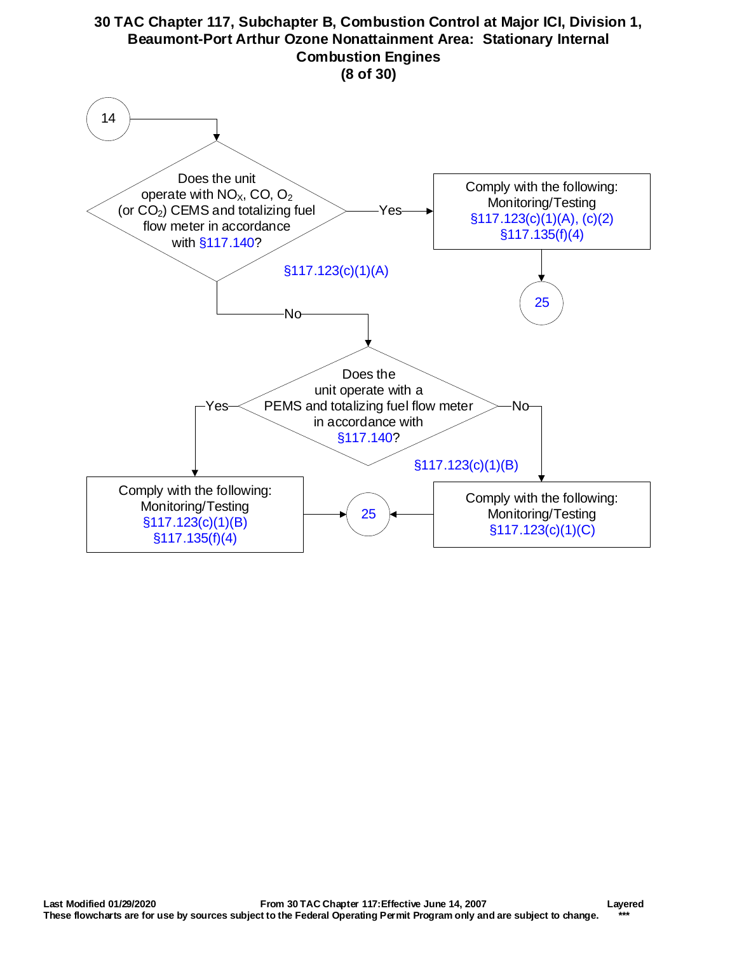<span id="page-7-0"></span>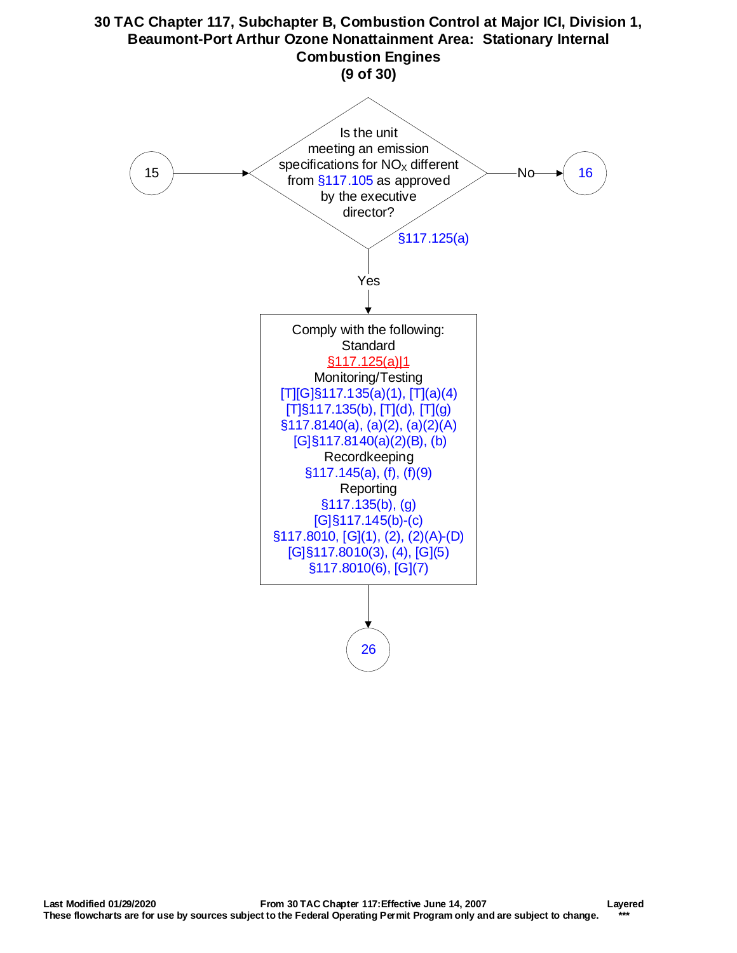<span id="page-8-0"></span>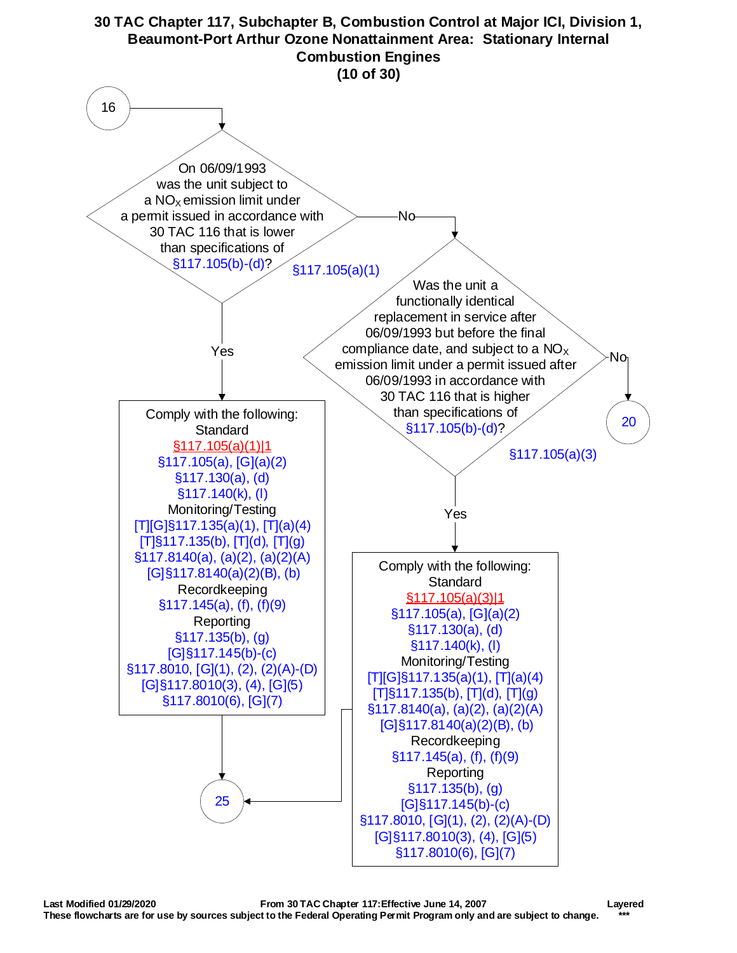<span id="page-9-0"></span>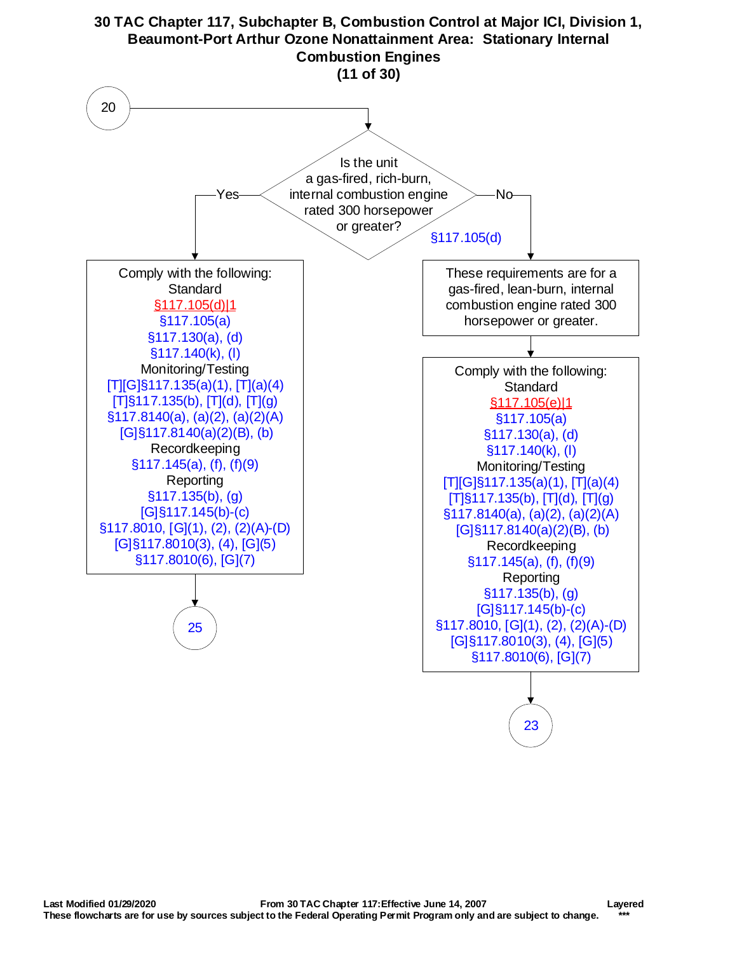<span id="page-10-0"></span>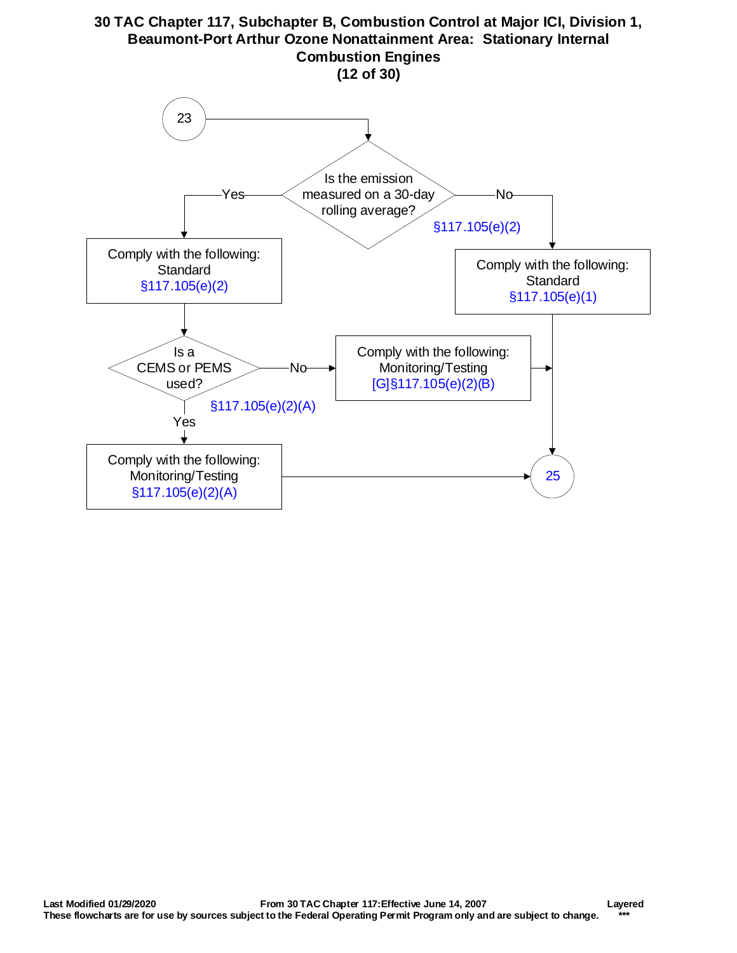<span id="page-11-0"></span>

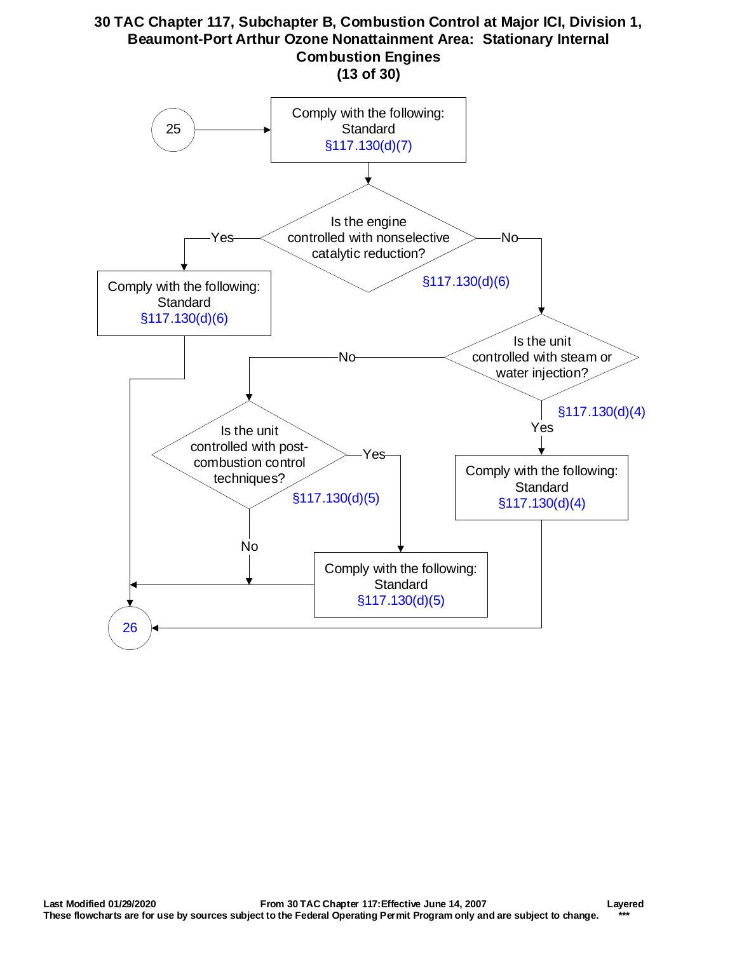<span id="page-12-1"></span><span id="page-12-0"></span>

Yes

Comply with the following: **Standard** [§117.130\(d\)\(5\)](http://texreg.sos.state.tx.us/public/readtac$ext.TacPage?sl=R&app=9&p_dir=&p_rloc=&p_tloc=&p_ploc=&pg=1&p_tac=&ti=30&pt=1&ch=117&rl=130)

[§117.130\(d\)\(5\)](http://texreg.sos.state.tx.us/public/readtac$ext.TacPage?sl=R&app=9&p_dir=&p_rloc=&p_tloc=&p_ploc=&pg=1&p_tac=&ti=30&pt=1&ch=117&rl=130)

Is the unit controlled with postcombustion control techniques?

No

[26](#page-13-0)

[§117.130\(d\)\(4\)](http://texreg.sos.state.tx.us/public/readtac$ext.TacPage?sl=R&app=9&p_dir=&p_rloc=&p_tloc=&p_ploc=&pg=1&p_tac=&ti=30&pt=1&ch=117&rl=130)

Yes

Comply with the following: **Standard** [§117.130\(d\)\(4\)](http://texreg.sos.state.tx.us/public/readtac$ext.TacPage?sl=R&app=9&p_dir=&p_rloc=&p_tloc=&p_ploc=&pg=1&p_tac=&ti=30&pt=1&ch=117&rl=130)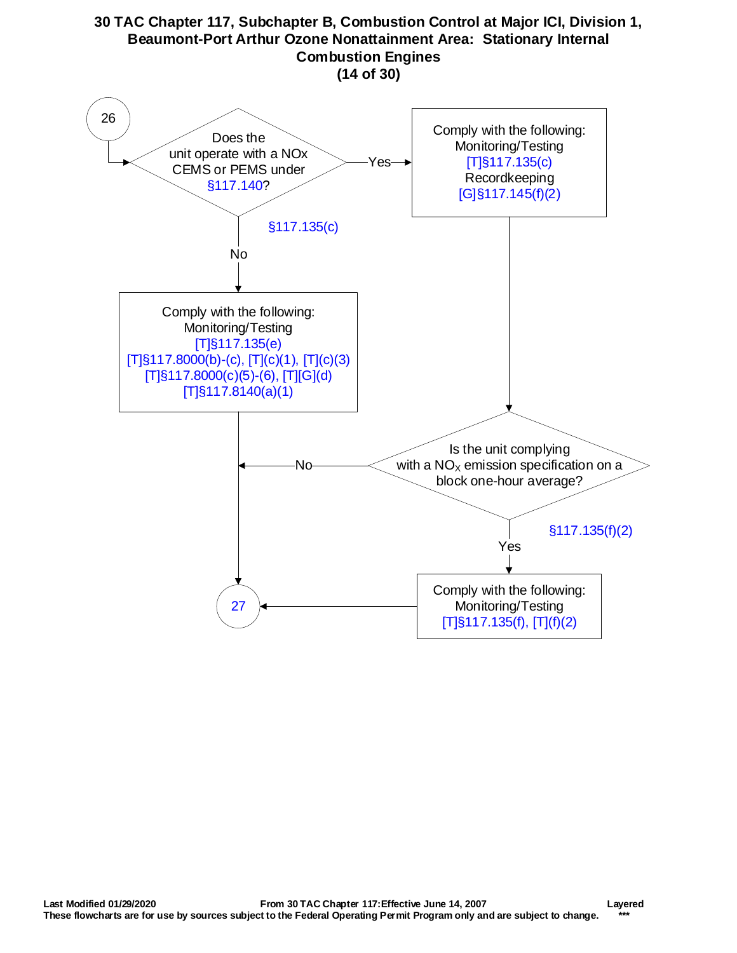<span id="page-13-0"></span>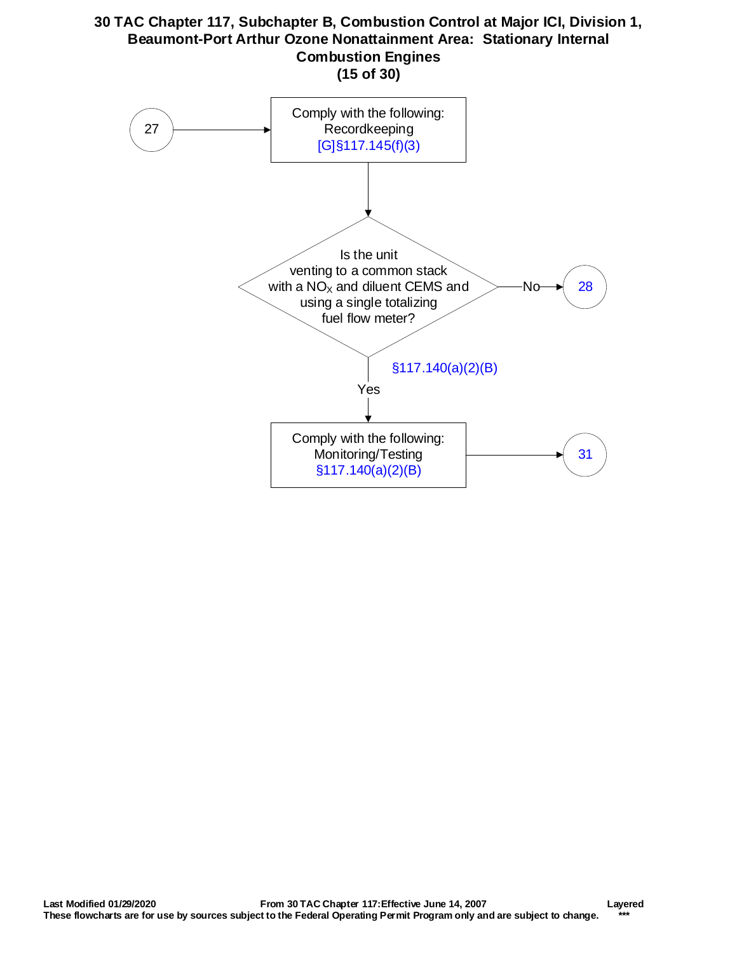<span id="page-14-0"></span>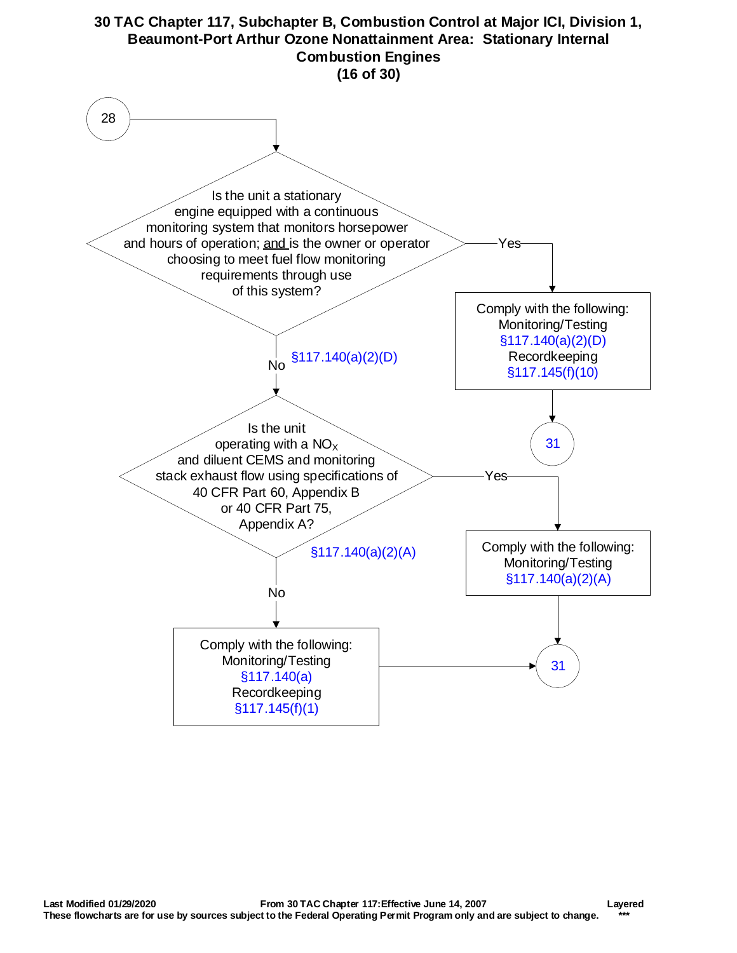<span id="page-15-0"></span>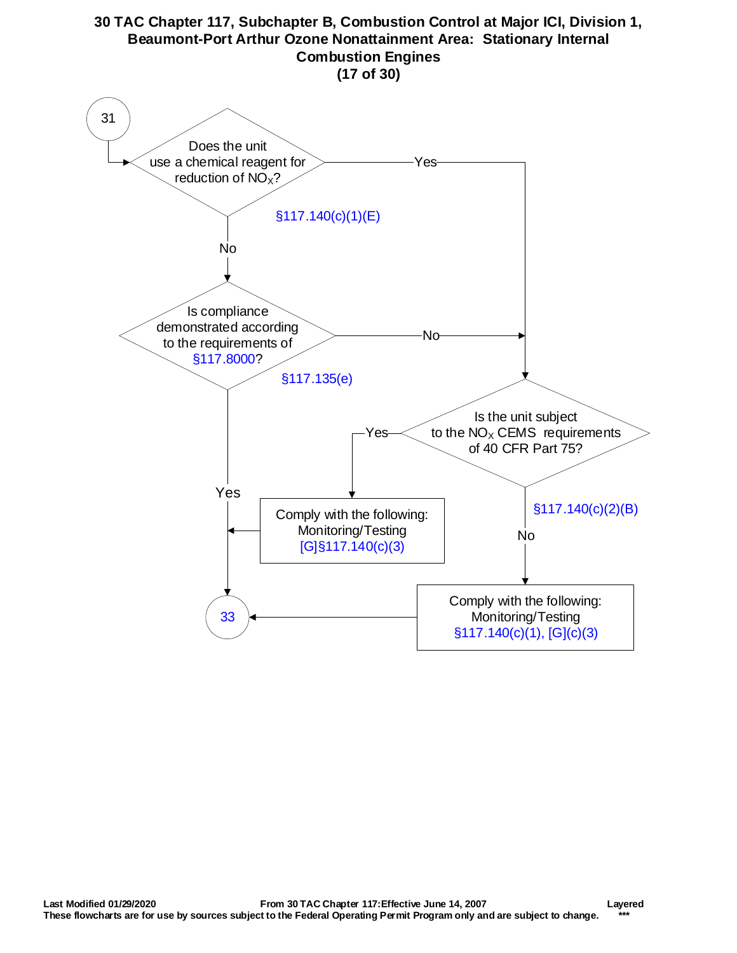<span id="page-16-0"></span>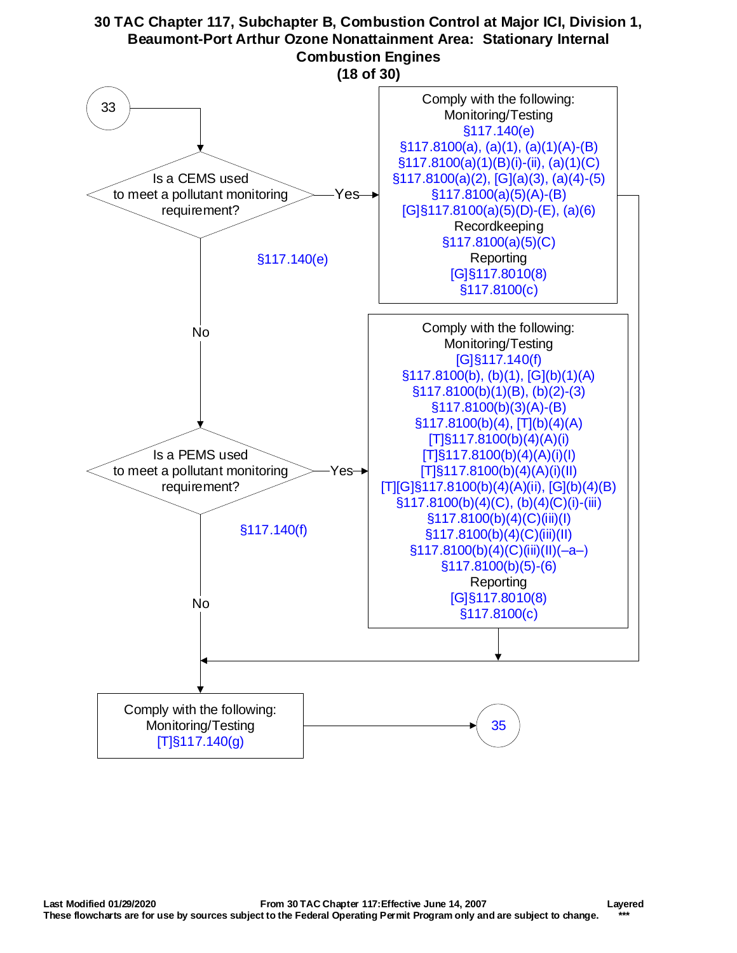<span id="page-17-0"></span>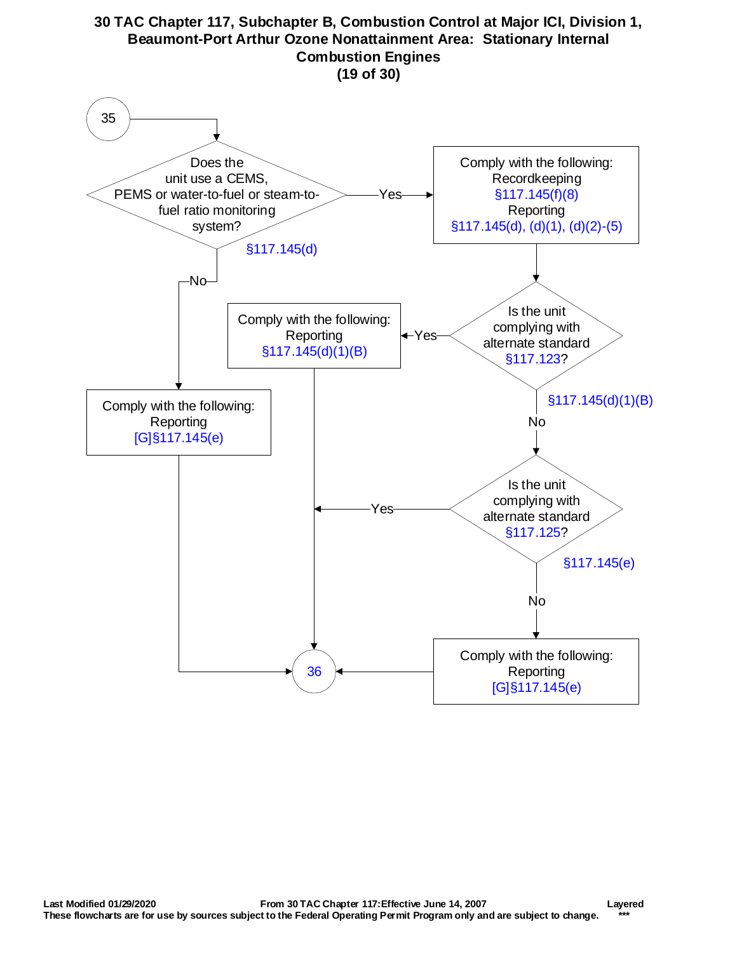<span id="page-18-0"></span>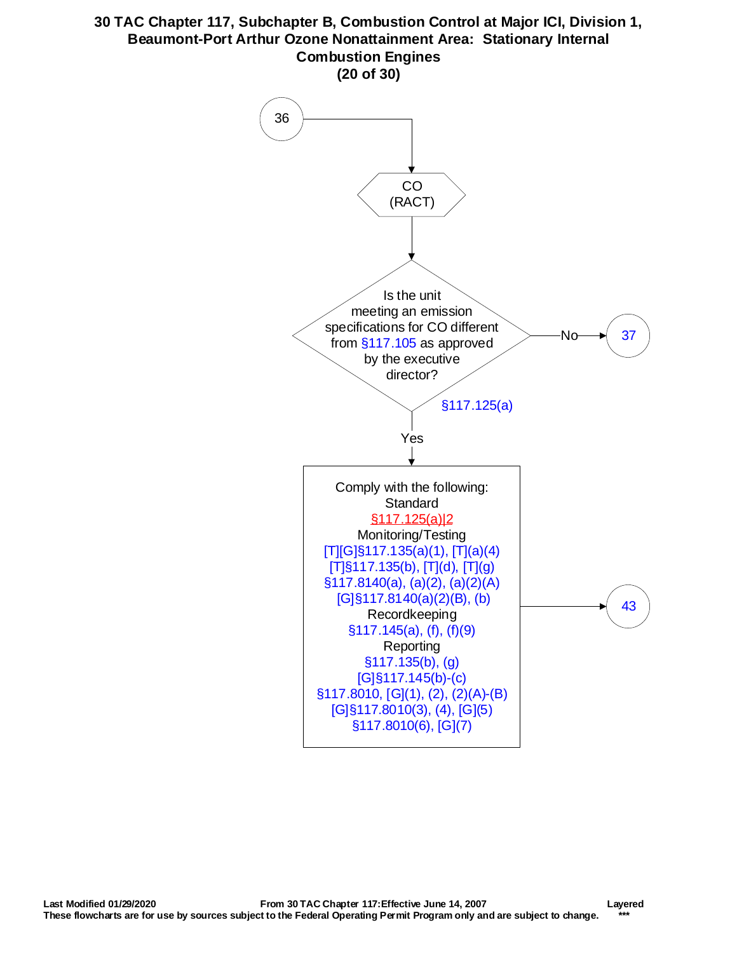<span id="page-19-0"></span>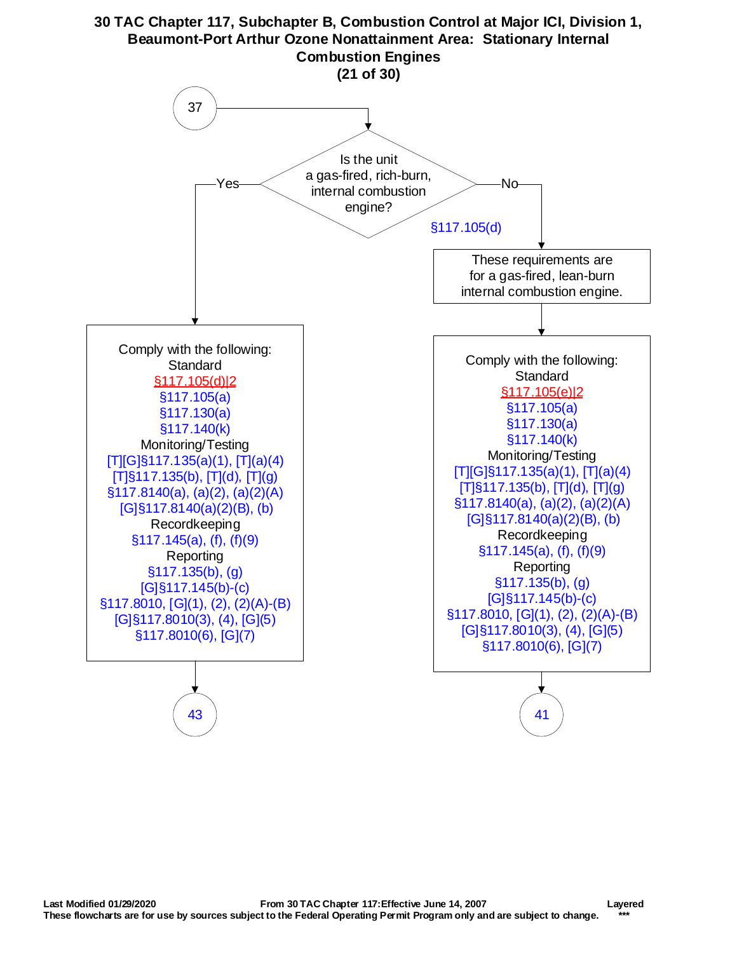<span id="page-20-0"></span>

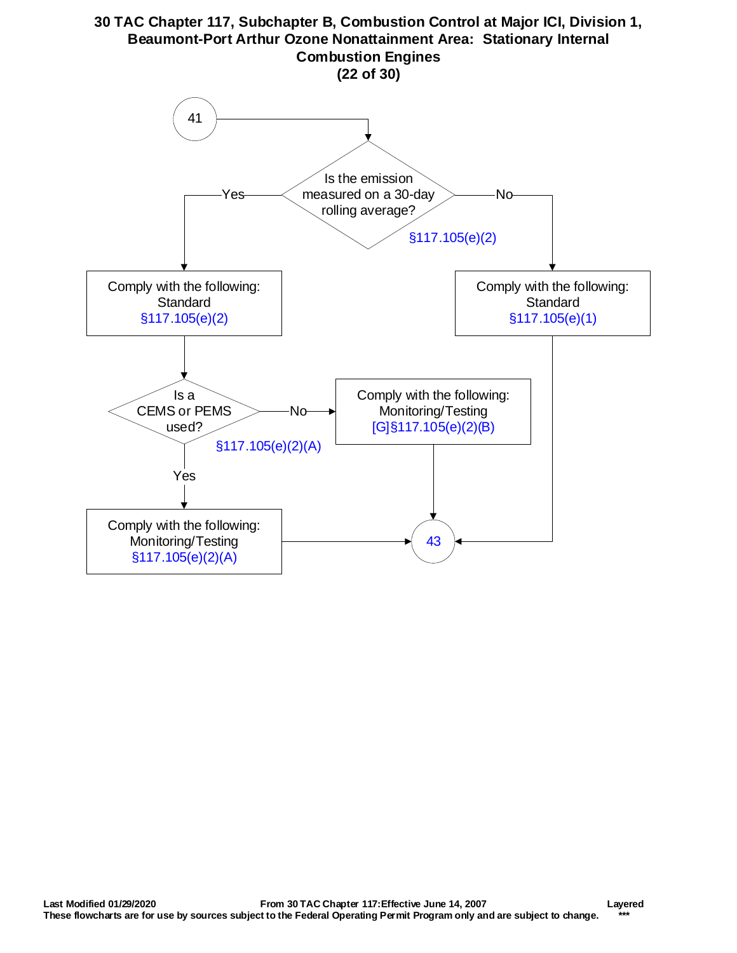<span id="page-21-0"></span>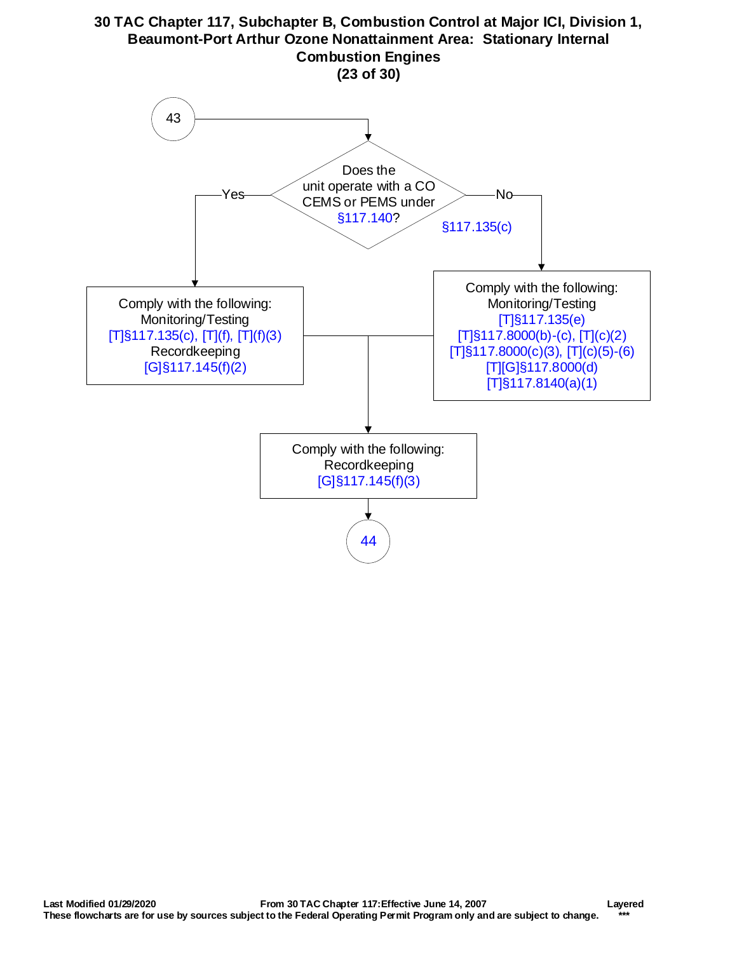<span id="page-22-0"></span>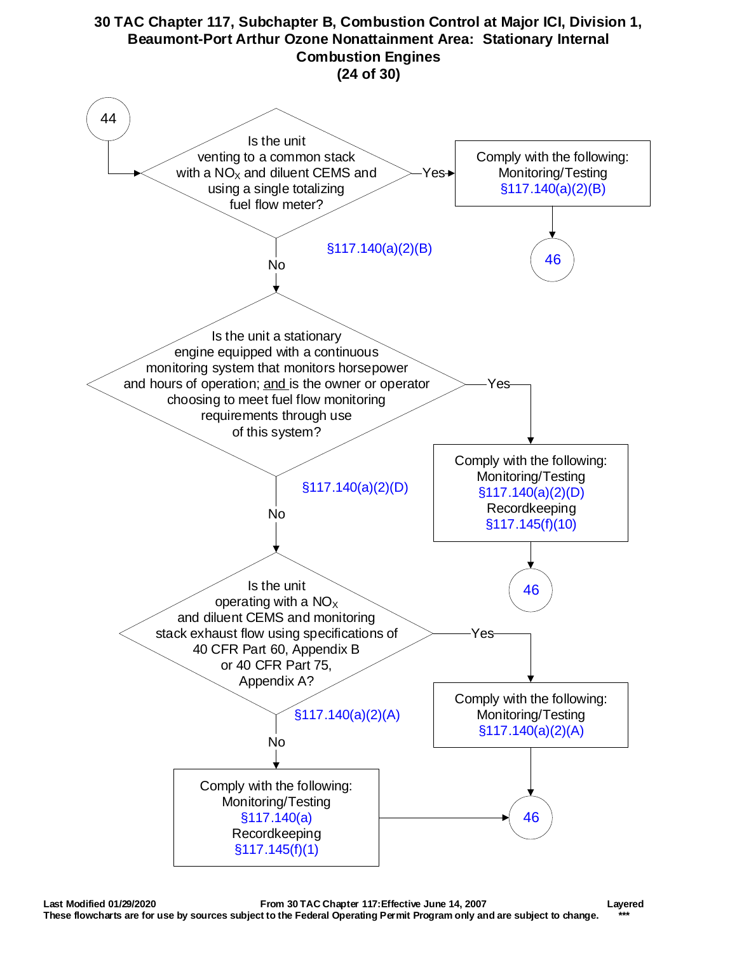<span id="page-23-0"></span>![](_page_23_Figure_0.jpeg)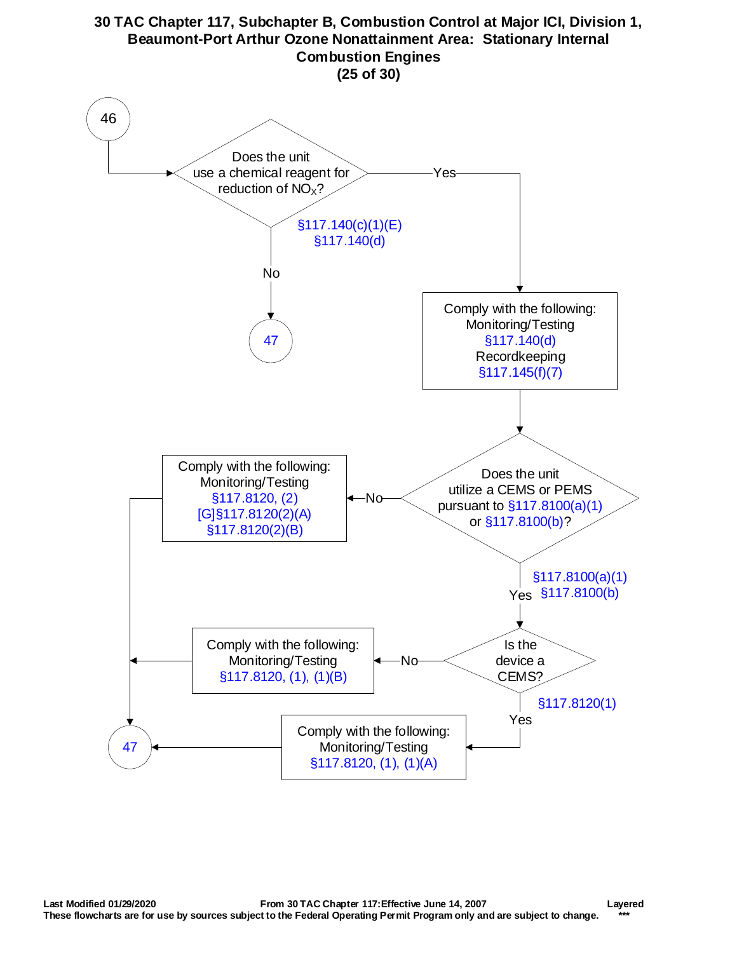<span id="page-24-0"></span>![](_page_24_Figure_0.jpeg)

#### **Last Modified 01/29/2020 From 30 TAC Chapter 117:Effective June 14, 2007 Layered These flowcharts are for use by sources subject to the Federal Operating Permit Program only and are subject to change. \*\*\***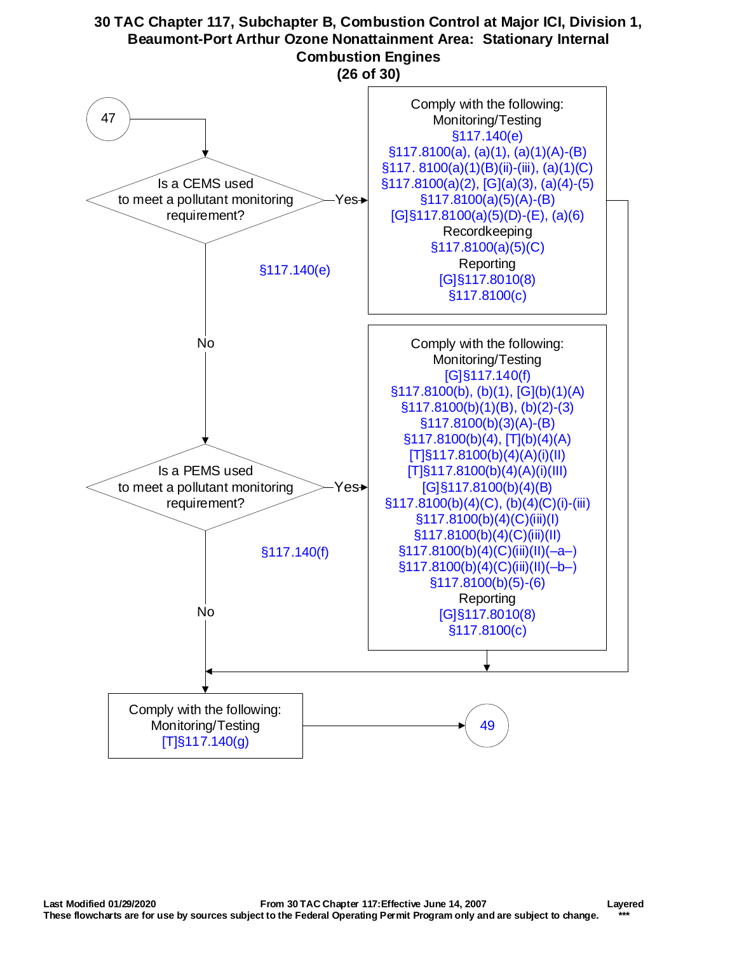<span id="page-25-0"></span>![](_page_25_Figure_1.jpeg)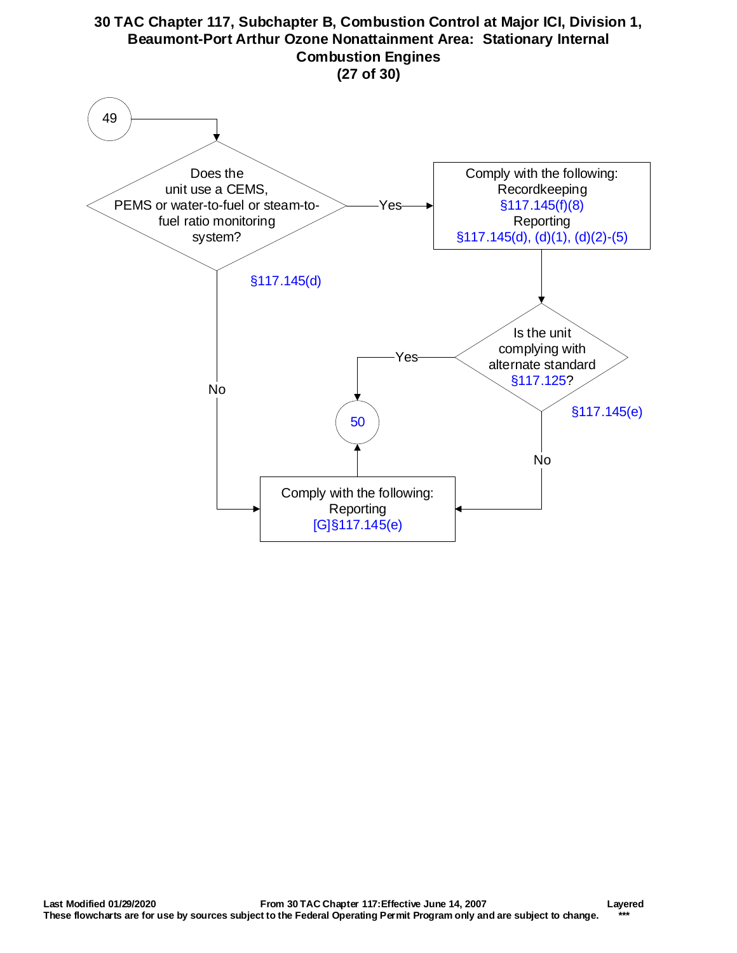<span id="page-26-0"></span>![](_page_26_Figure_1.jpeg)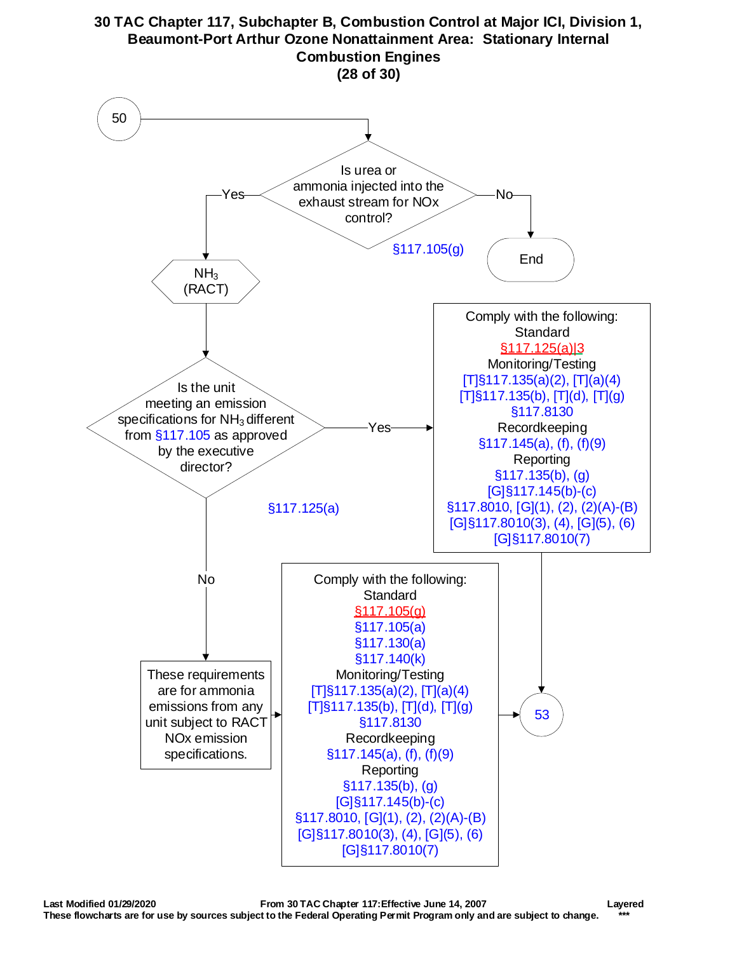<span id="page-27-0"></span>![](_page_27_Figure_0.jpeg)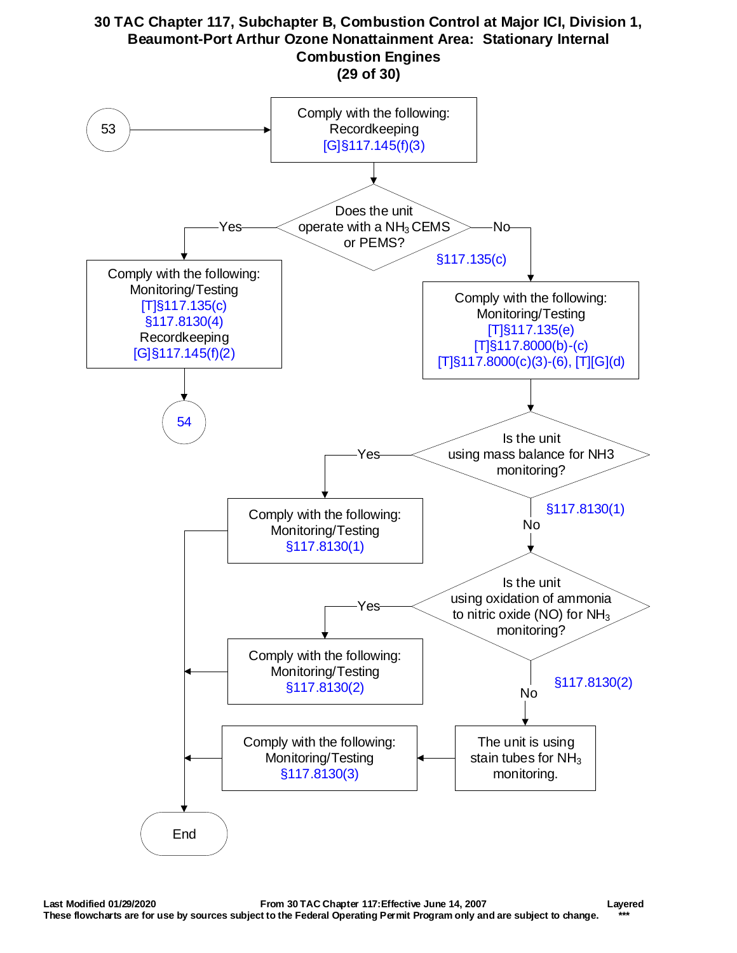<span id="page-28-0"></span>![](_page_28_Figure_0.jpeg)